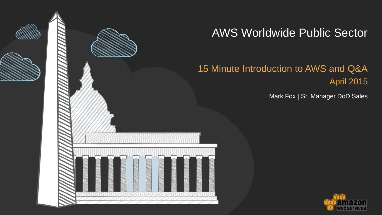

#### AWS Worldwide Public Sector

#### 15 Minute Introduction to AWS and Q&A April 2015

Mark Fox | Sr. Manager DoD Sales

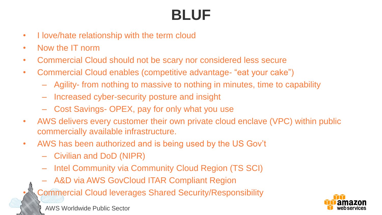## **BLUF**

- I love/hate relationship with the term cloud
- Now the IT norm
- Commercial Cloud should not be scary nor considered less secure
- Commercial Cloud enables (competitive advantage- "eat your cake")
	- Agility- from nothing to massive to nothing in minutes, time to capability
	- Increased cyber-security posture and insight
	- Cost Savings- OPEX, pay for only what you use
- AWS delivers every customer their own private cloud enclave (VPC) within public commercially available infrastructure.
- AWS has been authorized and is being used by the US Gov't
	- Civilian and DoD (NIPR)
	- Intel Community via Community Cloud Region (TS SCI)
	- A&D via AWS GovCloud ITAR Compliant Region

• Commercial Cloud leverages Shared Security/Responsibility

AWS Worldwide Public Sector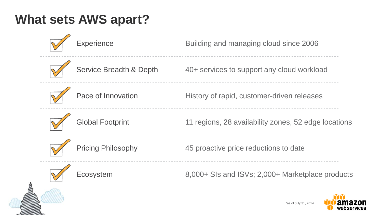#### **What sets AWS apart?**



**Experience** 

Building and managing cloud since 2006



Service Breadth & Depth

40+ services to support any cloud workload



Pace of Innovation

History of rapid, customer-driven releases



Global Footprint

11 regions, 28 availability zones, 52 edge locations



Pricing Philosophy

45 proactive price reductions to date



Ecosystem

8,000+ SIs and ISVs; 2,000+ Marketplace products



\*as of July 31, 2014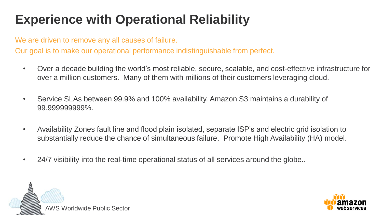## **Experience with Operational Reliability**

We are driven to remove any all causes of failure.

Our goal is to make our operational performance indistinguishable from perfect.

- Over a decade building the world's most reliable, secure, scalable, and cost-effective infrastructure for over a million customers. Many of them with millions of their customers leveraging cloud.
- Service SLAs between 99.9% and 100% availability. Amazon S3 maintains a durability of 99.999999999%.
- Availability Zones fault line and flood plain isolated, separate ISP's and electric grid isolation to substantially reduce the chance of simultaneous failure. Promote High Availability (HA) model.
- 24/7 visibility into the real-time operational status of all services around the globe..



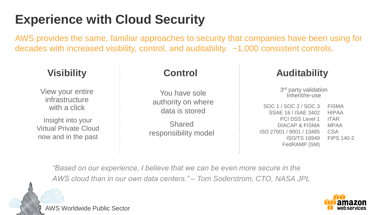## **Experience with Cloud Security**

AWS provides the same, familiar approaches to security that companies have been using for decades with increased visibility, control, and auditability. ~1,000 consistent controls.

| <b>Visibility</b>                                                                                                              | <b>Control</b>                                                                                 | <b>Auditability</b>                                                                                                                                                                                                                                                                                                           |
|--------------------------------------------------------------------------------------------------------------------------------|------------------------------------------------------------------------------------------------|-------------------------------------------------------------------------------------------------------------------------------------------------------------------------------------------------------------------------------------------------------------------------------------------------------------------------------|
| View your entire<br>infrastructure<br>with a click<br>Insight into your<br><b>Virtual Private Cloud</b><br>now and in the past | You have sole<br>authority on where<br>data is stored<br><b>Shared</b><br>responsibility model | 3 <sup>rd</sup> party validation<br>Inherit/re-use<br>SOC 1 / SOC 2 / SOC 3<br><b>FISMA</b><br>SSAE 16 / ISAE 3402<br><b>HIPAA</b><br><b>PCI DSS Level 1</b><br><b>ITAR</b><br><b>DIACAP &amp; FISMA</b><br><b>MPAA</b><br>ISO 27001 / 9001 / 13485<br><b>CSA</b><br><b>FIPS 140-2</b><br><b>ISO/TS 16949</b><br>FedRAMP (SM) |

*"Based on our experience, I believe that we can be even more secure in the AWS cloud than in our own data centers." – Tom Soderstrom, CTO, NASA JPL*

AWS Worldwide Public Sector

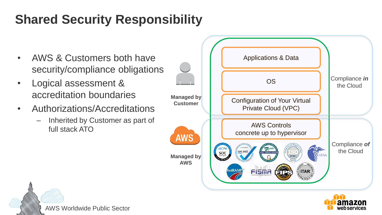## **Shared Security Responsibility**

- AWS & Customers both have security/compliance obligations
- Logical assessment & accreditation boundaries
- Authorizations/Accreditations
	- Inherited by Customer as part of full stack ATO





AWS Worldwide Public Sector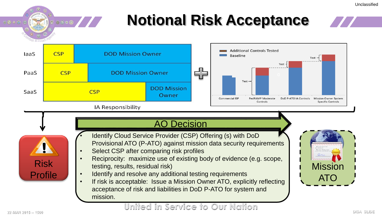## **Notional Risk Acceptance**



#### United in Service to Our Nation **22 MAR 2015 -- 1500 DISA SLIDE**

00000 10000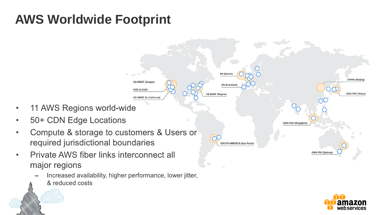#### **AWS Worldwide Footprint**





- 11 AWS Regions world-wide  $\bullet$
- 50+ CDN Edge Locations  $\bullet$
- Compute & storage to customers & Users or  $\bullet$ required jurisdictional boundaries
- Private AWS fiber links interconnect all  $\bullet$ major regions
	- Increased availability, higher performance, lower jitter, & reduced costs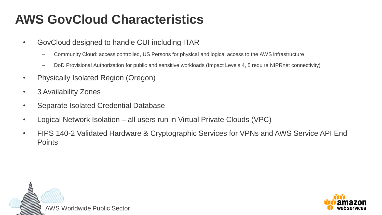#### **AWS GovCloud Characteristics**

- GovCloud designed to handle CUI including ITAR
	- Community Cloud: access controlled, US Persons for physical and logical access to the AWS infrastructure
	- DoD Provisional Authorization for public and sensitive workloads (Impact Levels 4, 5 require NIPRnet connectivity)
- Physically Isolated Region (Oregon)
- 3 Availability Zones
- Separate Isolated Credential Database
- Logical Network Isolation all users run in Virtual Private Clouds (VPC)
- FIPS 140-2 Validated Hardware & Cryptographic Services for VPNs and AWS Service API End **Points**